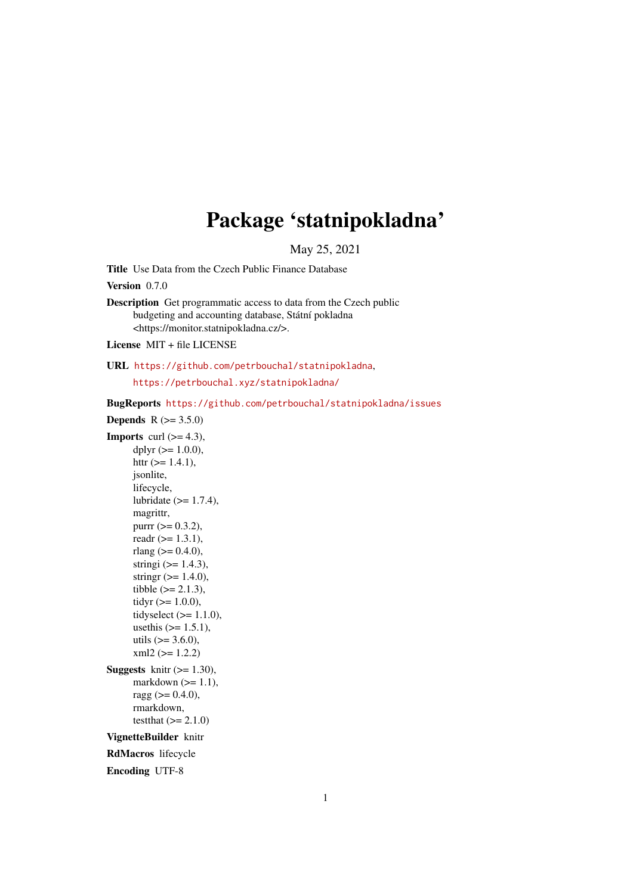# Package 'statnipokladna'

May 25, 2021

<span id="page-0-0"></span>Title Use Data from the Czech Public Finance Database

Version 0.7.0

Description Get programmatic access to data from the Czech public budgeting and accounting database, Státní pokladna <https://monitor.statnipokladna.cz/>.

License MIT + file LICENSE

URL <https://github.com/petrbouchal/statnipokladna>,

<https://petrbouchal.xyz/statnipokladna/>

BugReports <https://github.com/petrbouchal/statnipokladna/issues>

**Depends**  $R (= 3.5.0)$ **Imports** curl  $(>= 4.3)$ , dplyr  $(>= 1.0.0)$ , httr  $(>= 1.4.1)$ , jsonlite, lifecycle, lubridate  $(>= 1.7.4)$ , magrittr, purrr  $(>= 0.3.2)$ , readr  $(>= 1.3.1)$ , rlang ( $> = 0.4.0$ ), stringi  $(>= 1.4.3)$ , stringr  $(>= 1.4.0)$ , tibble  $(>= 2.1.3)$ , tidyr  $(>= 1.0.0)$ , tidyselect  $(>= 1.1.0)$ , usethis  $(>= 1.5.1)$ , utils  $(>= 3.6.0)$ ,  $xml2 (= 1.2.2)$ Suggests knitr  $(>= 1.30)$ , markdown  $(>= 1.1)$ , ragg  $(>= 0.4.0)$ , rmarkdown, testthat  $(>= 2.1.0)$ VignetteBuilder knitr RdMacros lifecycle Encoding UTF-8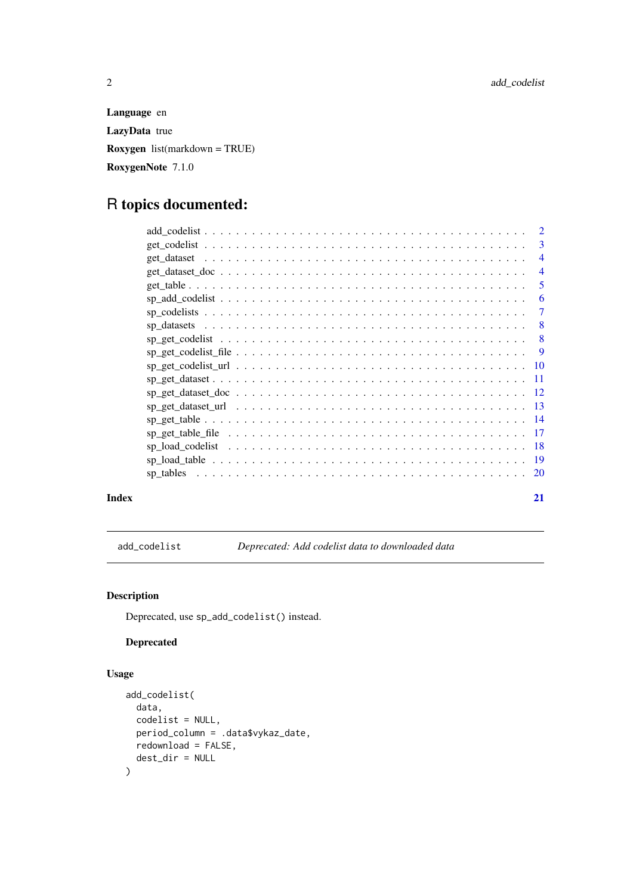<span id="page-1-0"></span>Language en LazyData true Roxygen list(markdown = TRUE) RoxygenNote 7.1.0

# R topics documented:

|       |                                                                                                                                     | $\overline{2}$ |
|-------|-------------------------------------------------------------------------------------------------------------------------------------|----------------|
|       |                                                                                                                                     | 3              |
|       |                                                                                                                                     | $\overline{4}$ |
|       |                                                                                                                                     | $\overline{4}$ |
|       |                                                                                                                                     | 5              |
|       |                                                                                                                                     | 6              |
|       |                                                                                                                                     | $\overline{7}$ |
|       |                                                                                                                                     | $-8$           |
|       |                                                                                                                                     |                |
|       |                                                                                                                                     | - 9            |
|       |                                                                                                                                     |                |
|       |                                                                                                                                     |                |
|       |                                                                                                                                     |                |
|       | $sp\_get\_dataset\_url \dots \dots \dots \dots \dots \dots \dots \dots \dots \dots \dots \dots \dots \dots \dots \dots \dots \dots$ |                |
|       | $sp\_get\_table 14$                                                                                                                 |                |
|       |                                                                                                                                     |                |
|       |                                                                                                                                     |                |
|       |                                                                                                                                     |                |
|       |                                                                                                                                     |                |
| Index |                                                                                                                                     | 21             |

<span id="page-1-1"></span>add\_codelist *Deprecated: Add codelist data to downloaded data*

#### Description

Deprecated, use sp\_add\_codelist() instead.

# Deprecated

### Usage

```
add_codelist(
  data,
  codelist = NULL,
  period_column = .data$vykaz_date,
  redownload = FALSE,
  dest_dir = NULL
)
```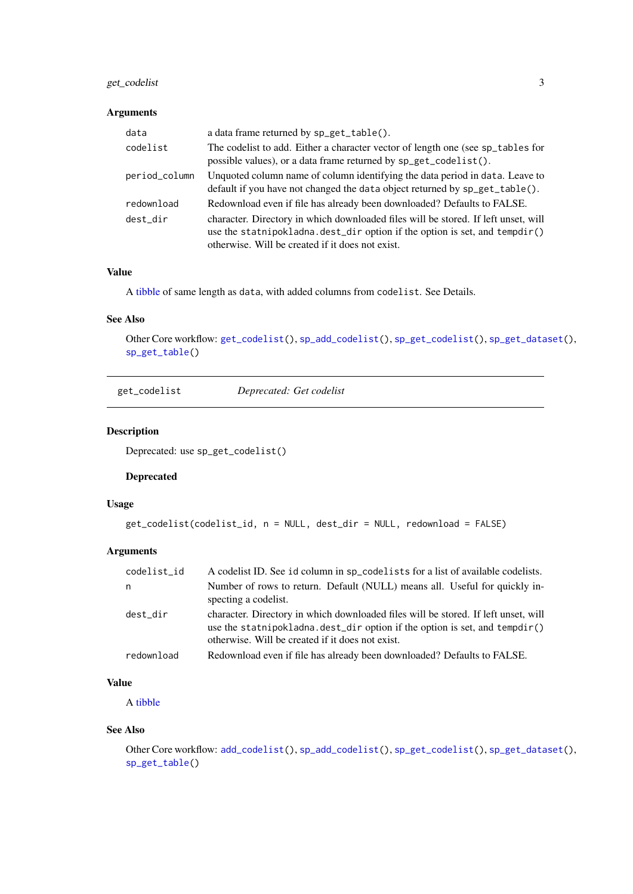#### <span id="page-2-0"></span>get\_codelist 3

#### Arguments

| data          | a data frame returned by sp_get_table().                                                                                                                                                                              |
|---------------|-----------------------------------------------------------------------------------------------------------------------------------------------------------------------------------------------------------------------|
| codelist      | The codelist to add. Either a character vector of length one (see sp_tables for<br>possible values), or a data frame returned by sp_get_codelist().                                                                   |
| period_column | Unquoted column name of column identifying the data period in data. Leave to<br>default if you have not changed the data object returned by sp_get_table().                                                           |
| redownload    | Redownload even if file has already been downloaded? Defaults to FALSE.                                                                                                                                               |
| dest dir      | character. Directory in which downloaded files will be stored. If left unset, will<br>use the statnipokladna. dest_dir option if the option is set, and tempdir()<br>otherwise. Will be created if it does not exist. |

#### Value

A [tibble](#page-0-0) of same length as data, with added columns from codelist. See Details.

### See Also

Other Core workflow: [get\\_codelist\(](#page-2-1)), [sp\\_add\\_codelist\(](#page-5-1)), [sp\\_get\\_codelist\(](#page-7-1)), [sp\\_get\\_dataset\(](#page-10-1)), [sp\\_get\\_table\(](#page-13-1))

<span id="page-2-1"></span>get\_codelist *Deprecated: Get codelist*

#### Description

Deprecated: use sp\_get\_codelist()

#### Deprecated

#### Usage

```
get_codelist(codelist_id, n = NULL, dest_dir = NULL, redownload = FALSE)
```
# Arguments

| codelist_id | A codelist ID. See id column in sp_codelists for a list of available codelists.                                                                                                                                            |
|-------------|----------------------------------------------------------------------------------------------------------------------------------------------------------------------------------------------------------------------------|
| n           | Number of rows to return. Default (NULL) means all. Useful for quickly in-<br>specting a codelist.                                                                                                                         |
| dest_dir    | character. Directory in which downloaded files will be stored. If left unset, will<br>use the statnipokladna. $dest\_dir$ option if the option is set, and $tempdir()$<br>otherwise. Will be created if it does not exist. |
| redownload  | Redownload even if file has already been downloaded? Defaults to FALSE.                                                                                                                                                    |

#### Value

A [tibble](#page-0-0)

#### See Also

```
Other Core workflow: add_codelist(), sp_add_codelist(), sp_get_codelist(), sp_get_dataset(),
sp_get_table()
```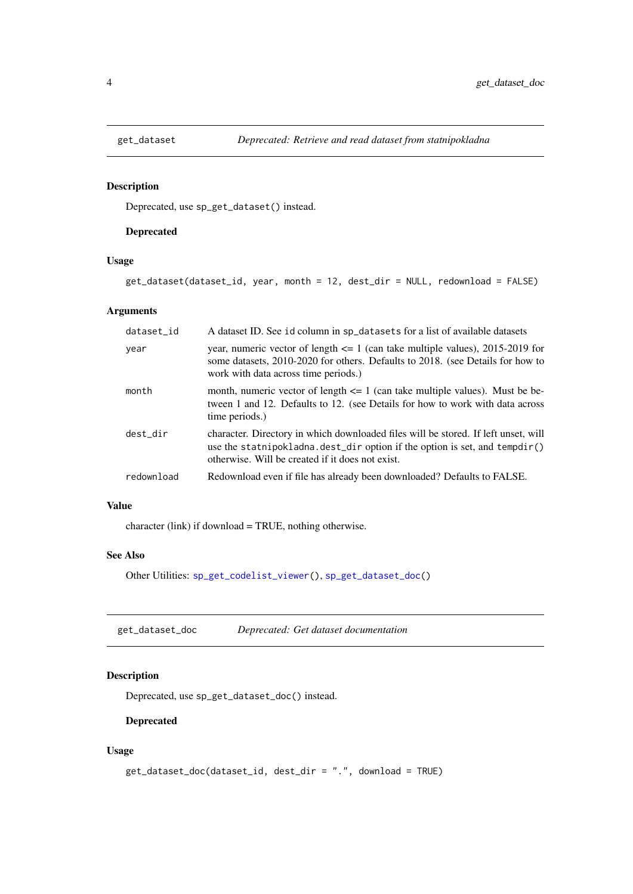Deprecated, use sp\_get\_dataset() instead.

#### Deprecated

# Usage

get\_dataset(dataset\_id, year, month = 12, dest\_dir = NULL, redownload = FALSE)

# Arguments

| dataset_id | A dataset ID. See id column in sp_datasets for a list of available datasets                                                                                                                                                |
|------------|----------------------------------------------------------------------------------------------------------------------------------------------------------------------------------------------------------------------------|
| year       | year, numeric vector of length $\leq 1$ (can take multiple values), 2015-2019 for<br>some datasets, 2010-2020 for others. Defaults to 2018. (see Details for how to<br>work with data across time periods.)                |
| month      | month, numeric vector of length $\leq 1$ (can take multiple values). Must be be-<br>tween 1 and 12. Defaults to 12. (see Details for how to work with data across<br>time periods.)                                        |
| dest_dir   | character. Directory in which downloaded files will be stored. If left unset, will<br>use the statnipokladna. $dest\_dir$ option if the option is set, and $tempdir()$<br>otherwise. Will be created if it does not exist. |
| redownload | Redownload even if file has already been downloaded? Defaults to FALSE.                                                                                                                                                    |

# Value

character (link) if download = TRUE, nothing otherwise.

# See Also

Other Utilities: [sp\\_get\\_codelist\\_viewer\(](#page-0-0)), [sp\\_get\\_dataset\\_doc\(](#page-11-1))

get\_dataset\_doc *Deprecated: Get dataset documentation*

#### Description

Deprecated, use sp\_get\_dataset\_doc() instead.

#### Deprecated

# Usage

```
get_dataset_doc(dataset_id, dest_dir = ".", download = TRUE)
```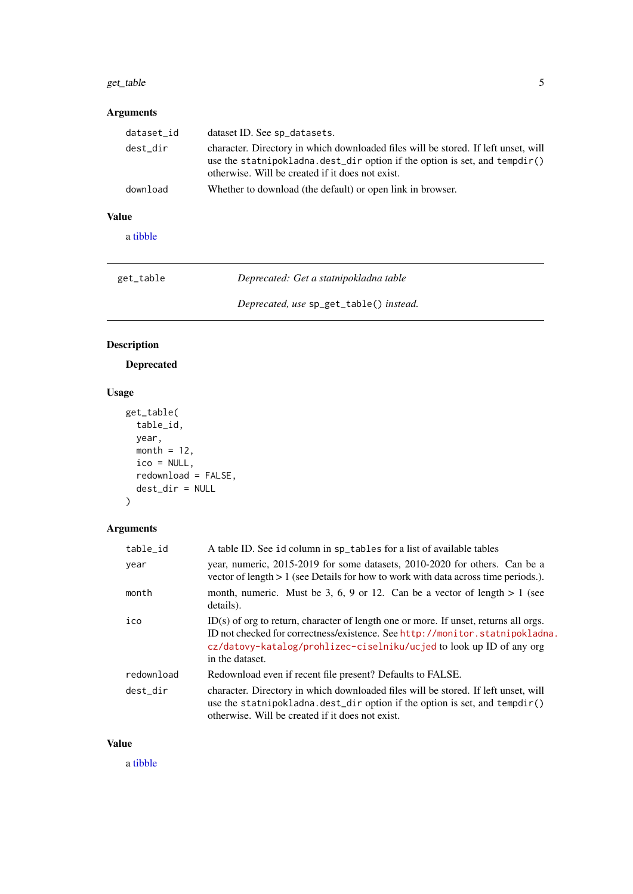#### <span id="page-4-0"></span>get\_table 5

# Arguments

| dataset_id | dataset ID. See sp_datasets.                                                                                                                                                                                             |
|------------|--------------------------------------------------------------------------------------------------------------------------------------------------------------------------------------------------------------------------|
| dest_dir   | character. Directory in which downloaded files will be stored. If left unset, will<br>use the statnipokladna. $dest\_dir$ option if the option is set, and tempdir()<br>otherwise. Will be created if it does not exist. |
| download   | Whether to download (the default) or open link in browser.                                                                                                                                                               |

# Value

a [tibble](#page-0-0)

| get_table | Deprecated: Get a statnipokladna table  |
|-----------|-----------------------------------------|
|           | Deprecated, use sp_get_table() instead. |

# Description

Deprecated

# Usage

```
get_table(
 table_id,
  year,
 month = 12,
 ico = NULL,
 redownload = FALSE,
  dest_dir = NULL
)
```
# Arguments

| table_id   | A table ID. See id column in sp_tables for a list of available tables                                                                                                                                                                                             |
|------------|-------------------------------------------------------------------------------------------------------------------------------------------------------------------------------------------------------------------------------------------------------------------|
| year       | year, numeric, 2015-2019 for some datasets, 2010-2020 for others. Can be a<br>vector of length $> 1$ (see Details for how to work with data across time periods.).                                                                                                |
| month      | month, numeric. Must be 3, 6, 9 or 12. Can be a vector of length $> 1$ (see<br>details).                                                                                                                                                                          |
| ico        | $ID(s)$ of org to return, character of length one or more. If unset, returns all orgs.<br>ID not checked for correctness/existence. See http://monitor.statnipokladna.<br>cz/datovy-katalog/prohlizec-ciselniku/ucjed to look up ID of any org<br>in the dataset. |
| redownload | Redownload even if recent file present? Defaults to FALSE.                                                                                                                                                                                                        |
| dest dir   | character. Directory in which downloaded files will be stored. If left unset, will<br>use the statnipokladna. $dest\_dir$ option if the option is set, and $tempdir()$<br>otherwise. Will be created if it does not exist.                                        |

#### Value

a [tibble](#page-0-0)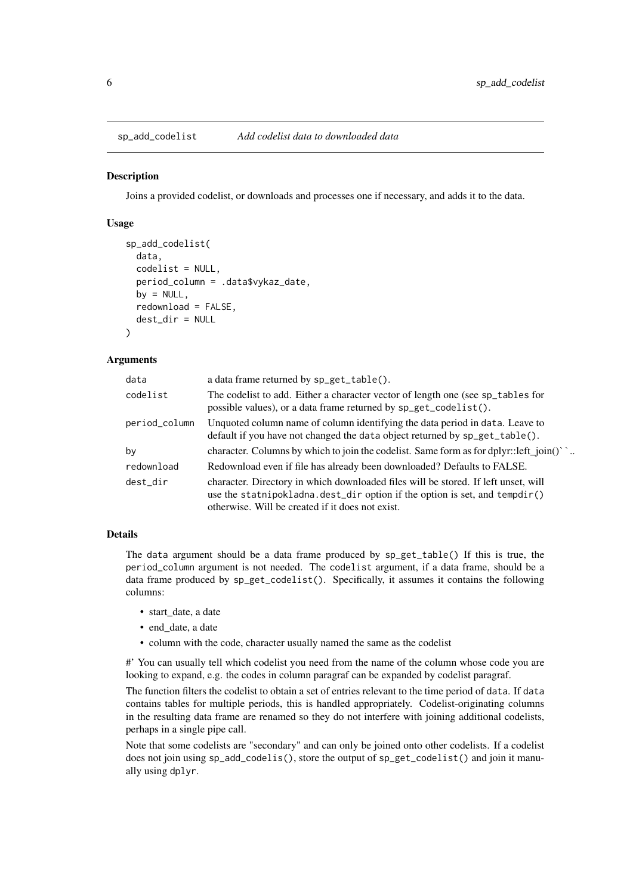<span id="page-5-1"></span><span id="page-5-0"></span>sp\_add\_codelist *Add codelist data to downloaded data*

#### Description

Joins a provided codelist, or downloads and processes one if necessary, and adds it to the data.

#### Usage

```
sp_add_codelist(
  data,
  codelist = NULL,
 period_column = .data$vykaz_date,
 by = NULL,
 redownload = FALSE,
  dest_dir = NULL
)
```
#### Arguments

| data          | a data frame returned by sp_get_table().                                                                                                                                                                             |
|---------------|----------------------------------------------------------------------------------------------------------------------------------------------------------------------------------------------------------------------|
| codelist      | The codelist to add. Either a character vector of length one (see sp_tables for<br>possible values), or a data frame returned by sp_get_codelist().                                                                  |
| period_column | Unquoted column name of column identifying the data period in data. Leave to<br>default if you have not changed the data object returned by sp_get_table().                                                          |
| by            | character. Columns by which to join the codelist. Same form as for dplyr::left_join()`                                                                                                                               |
| redownload    | Redownload even if file has already been downloaded? Defaults to FALSE.                                                                                                                                              |
| dest dir      | character. Directory in which downloaded files will be stored. If left unset, will<br>use the statnipokladna.dest_dir option if the option is set, and tempdir()<br>otherwise. Will be created if it does not exist. |

#### Details

The data argument should be a data frame produced by  $sp\_get\_table()$  If this is true, the period\_column argument is not needed. The codelist argument, if a data frame, should be a data frame produced by sp\_get\_codelist(). Specifically, it assumes it contains the following columns:

- start\_date, a date
- end date, a date
- column with the code, character usually named the same as the codelist

#' You can usually tell which codelist you need from the name of the column whose code you are looking to expand, e.g. the codes in column paragraf can be expanded by codelist paragraf.

The function filters the codelist to obtain a set of entries relevant to the time period of data. If data contains tables for multiple periods, this is handled appropriately. Codelist-originating columns in the resulting data frame are renamed so they do not interfere with joining additional codelists, perhaps in a single pipe call.

Note that some codelists are "secondary" and can only be joined onto other codelists. If a codelist does not join using sp\_add\_codelis(), store the output of sp\_get\_codelist() and join it manually using dplyr.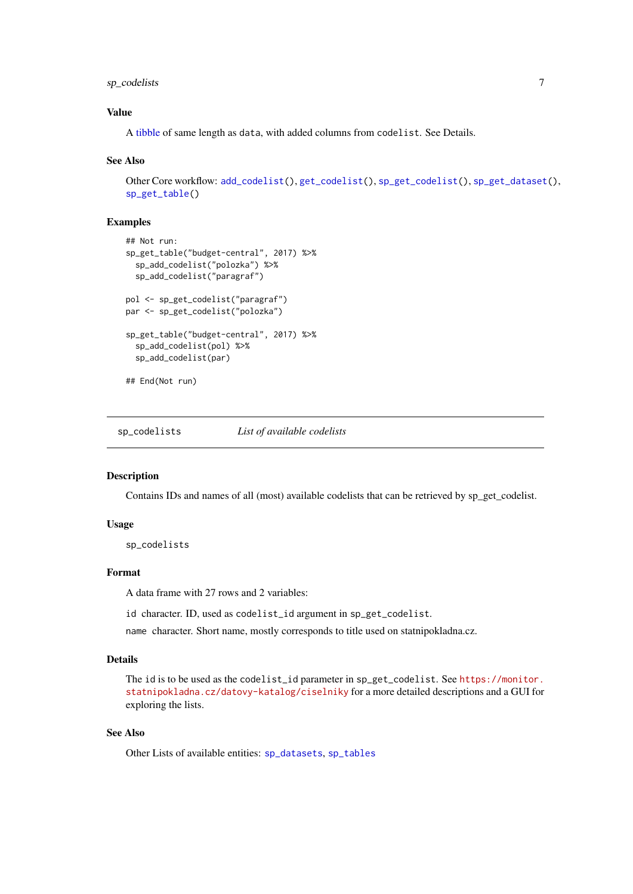#### <span id="page-6-0"></span>sp\_codelists 7

#### Value

A [tibble](#page-0-0) of same length as data, with added columns from codelist. See Details.

#### See Also

```
Other Core workflow: add_codelist(), get_codelist(), sp_get_codelist(), sp_get_dataset(),
sp_get_table()
```
#### Examples

```
## Not run:
sp_get_table("budget-central", 2017) %>%
  sp_add_codelist("polozka") %>%
  sp_add_codelist("paragraf")
pol <- sp_get_codelist("paragraf")
par <- sp_get_codelist("polozka")
sp_get_table("budget-central", 2017) %>%
  sp_add_codelist(pol) %>%
  sp_add_codelist(par)
## End(Not run)
```
<span id="page-6-1"></span>sp\_codelists *List of available codelists*

#### Description

Contains IDs and names of all (most) available codelists that can be retrieved by sp\_get\_codelist.

#### Usage

sp\_codelists

#### Format

A data frame with 27 rows and 2 variables:

id character. ID, used as codelist\_id argument in sp\_get\_codelist.

name character. Short name, mostly corresponds to title used on statnipokladna.cz.

#### Details

The id is to be used as the codelist\_id parameter in sp\_get\_codelist. See [https://monitor.](https://monitor.statnipokladna.cz/datovy-katalog/ciselniky) [statnipokladna.cz/datovy-katalog/ciselniky](https://monitor.statnipokladna.cz/datovy-katalog/ciselniky) for a more detailed descriptions and a GUI for exploring the lists.

#### See Also

Other Lists of available entities: [sp\\_datasets](#page-7-2), [sp\\_tables](#page-19-1)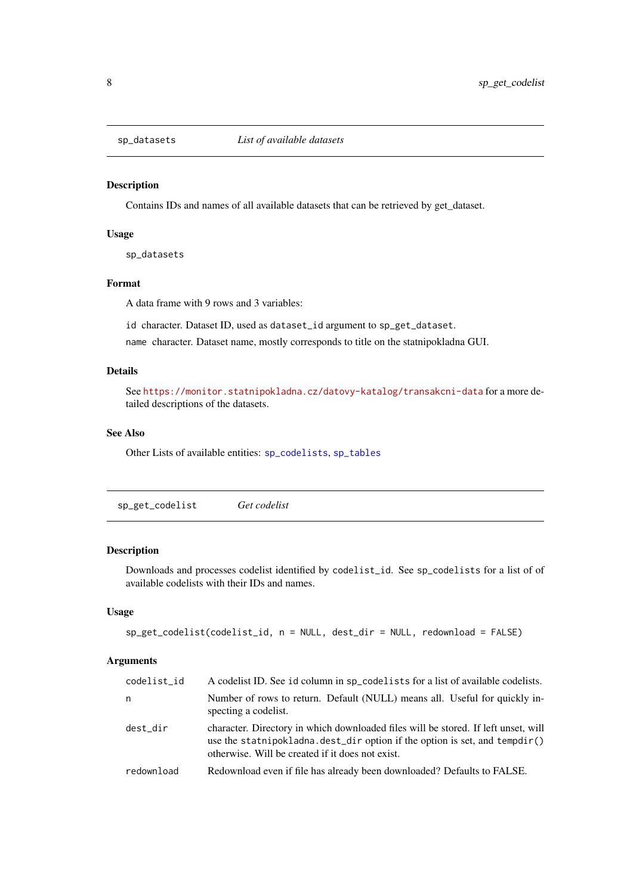<span id="page-7-2"></span><span id="page-7-0"></span>

Contains IDs and names of all available datasets that can be retrieved by get\_dataset.

#### Usage

sp\_datasets

#### Format

A data frame with 9 rows and 3 variables:

id character. Dataset ID, used as dataset\_id argument to sp\_get\_dataset.

name character. Dataset name, mostly corresponds to title on the statnipokladna GUI.

#### Details

See <https://monitor.statnipokladna.cz/datovy-katalog/transakcni-data> for a more detailed descriptions of the datasets.

#### See Also

Other Lists of available entities: [sp\\_codelists](#page-6-1), [sp\\_tables](#page-19-1)

<span id="page-7-1"></span>sp\_get\_codelist *Get codelist*

#### Description

Downloads and processes codelist identified by codelist\_id. See sp\_codelists for a list of of available codelists with their IDs and names.

#### Usage

```
sp_get_codelist(codelist_id, n = NULL, dest_dir = NULL, redownload = FALSE)
```
#### Arguments

| codelist_id | A codelist ID. See id column in sp_codelists for a list of available codelists.                                                                                                                                      |
|-------------|----------------------------------------------------------------------------------------------------------------------------------------------------------------------------------------------------------------------|
| n           | Number of rows to return. Default (NULL) means all. Useful for quickly in-<br>specting a codelist.                                                                                                                   |
| dest dir    | character. Directory in which downloaded files will be stored. If left unset, will<br>use the statnipokladna.dest_dir option if the option is set, and tempdir()<br>otherwise. Will be created if it does not exist. |
| redownload  | Redownload even if file has already been downloaded? Defaults to FALSE.                                                                                                                                              |
|             |                                                                                                                                                                                                                      |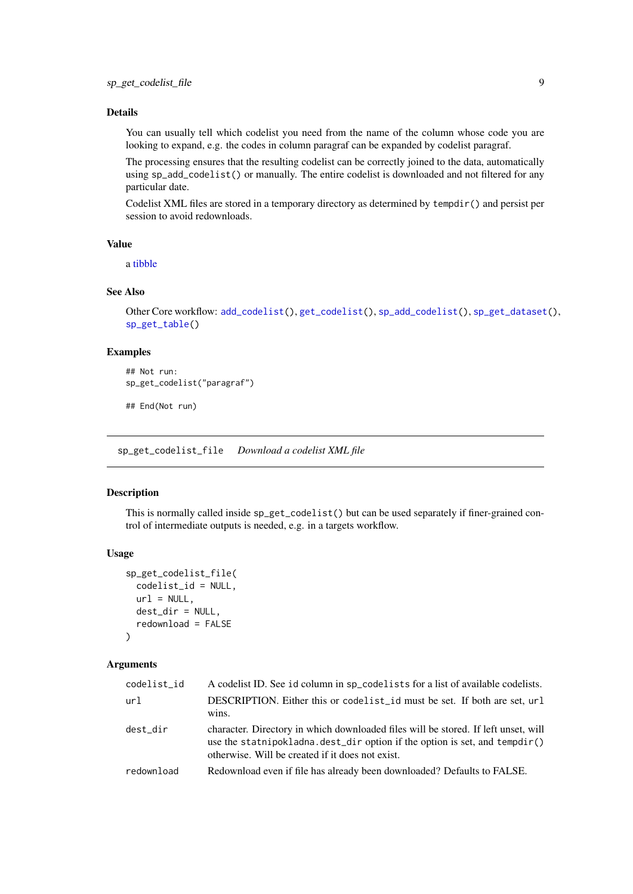#### <span id="page-8-0"></span>Details

You can usually tell which codelist you need from the name of the column whose code you are looking to expand, e.g. the codes in column paragraf can be expanded by codelist paragraf.

The processing ensures that the resulting codelist can be correctly joined to the data, automatically using sp\_add\_codelist() or manually. The entire codelist is downloaded and not filtered for any particular date.

Codelist XML files are stored in a temporary directory as determined by tempdir() and persist per session to avoid redownloads.

#### Value

a [tibble](#page-0-0)

#### See Also

```
Other Core workflow: add_codelist(), get_codelist(), sp_add_codelist(), sp_get_dataset(),
sp_get_table()
```
#### Examples

```
## Not run:
sp_get_codelist("paragraf")
```
## End(Not run)

<span id="page-8-1"></span>sp\_get\_codelist\_file *Download a codelist XML file*

#### Description

This is normally called inside sp\_get\_codelist() but can be used separately if finer-grained control of intermediate outputs is needed, e.g. in a targets workflow.

#### Usage

```
sp_get_codelist_file(
  codelist_id = NULL,
  url = NULL,dest_dir = NULL,
  redownload = FALSE
)
```
#### Arguments

| codelist_id | A codelist ID. See id column in sp_codelists for a list of available codelists.                                                                                                                                      |
|-------------|----------------------------------------------------------------------------------------------------------------------------------------------------------------------------------------------------------------------|
| url         | DESCRIPTION. Either this or codelist id must be set. If both are set, url<br>wins.                                                                                                                                   |
| dest dir    | character. Directory in which downloaded files will be stored. If left unset, will<br>use the statnipokladna.dest_dir option if the option is set, and tempdir()<br>otherwise. Will be created if it does not exist. |
| redownload  | Redownload even if file has already been downloaded? Defaults to FALSE.                                                                                                                                              |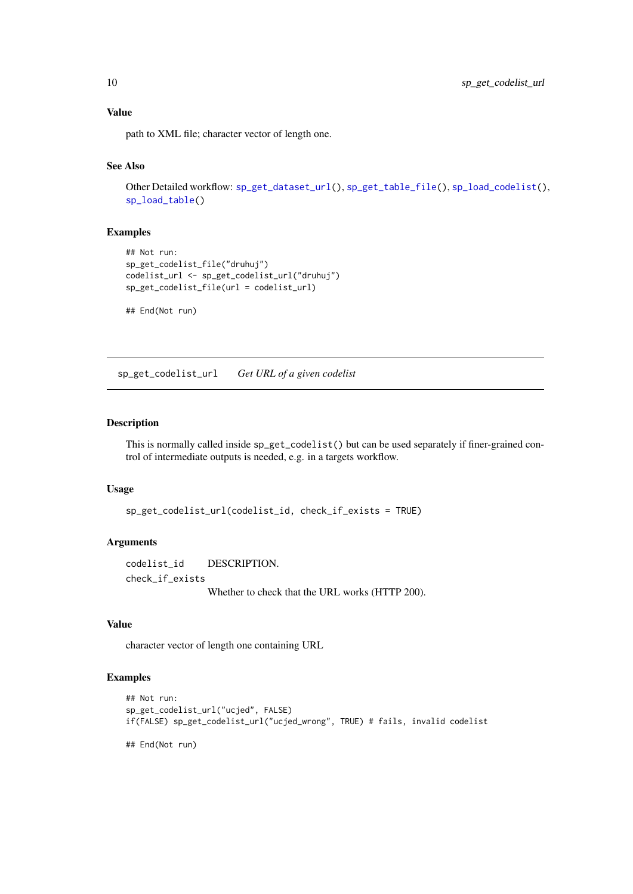#### Value

path to XML file; character vector of length one.

#### See Also

```
Other Detailed workflow: sp_get_dataset_url(), sp_get_table_file(), sp_load_codelist(),
sp_load_table()
```
#### Examples

```
## Not run:
sp_get_codelist_file("druhuj")
codelist_url <- sp_get_codelist_url("druhuj")
sp_get_codelist_file(url = codelist_url)
```

```
## End(Not run)
```
sp\_get\_codelist\_url *Get URL of a given codelist*

#### Description

This is normally called inside sp\_get\_codelist() but can be used separately if finer-grained control of intermediate outputs is needed, e.g. in a targets workflow.

#### Usage

```
sp_get_codelist_url(codelist_id, check_if_exists = TRUE)
```
#### Arguments

codelist\_id DESCRIPTION. check\_if\_exists Whether to check that the URL works (HTTP 200).

### Value

character vector of length one containing URL

#### Examples

```
## Not run:
sp_get_codelist_url("ucjed", FALSE)
if(FALSE) sp_get_codelist_url("ucjed_wrong", TRUE) # fails, invalid codelist
```
## End(Not run)

<span id="page-9-0"></span>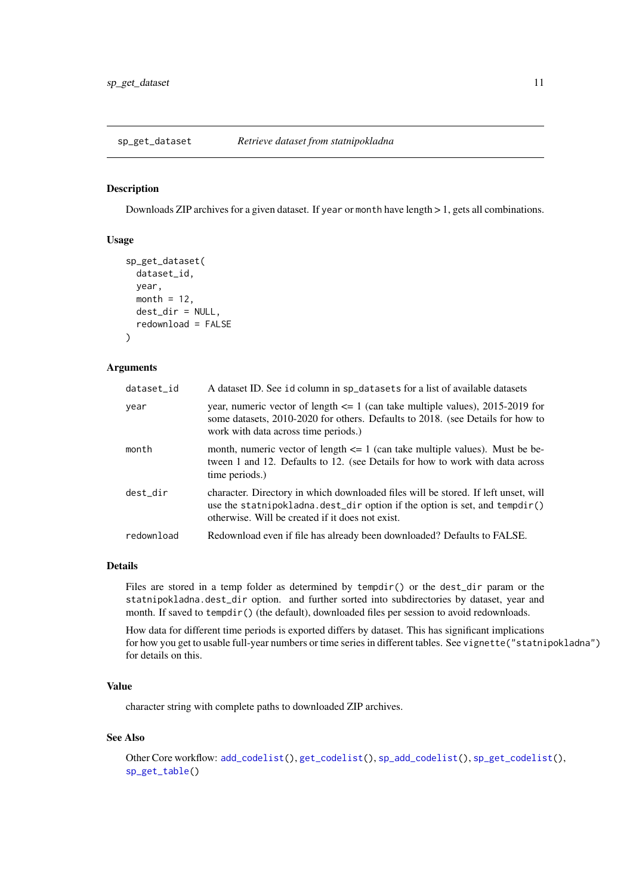<span id="page-10-1"></span><span id="page-10-0"></span>

Downloads ZIP archives for a given dataset. If year or month have length > 1, gets all combinations.

#### Usage

```
sp_get_dataset(
  dataset_id,
  year,
  month = 12,
  dest_dir = NULL,
  redownload = FALSE
)
```
#### Arguments

| dataset_id | A dataset ID. See id column in sp_datasets for a list of available datasets                                                                                                                                          |
|------------|----------------------------------------------------------------------------------------------------------------------------------------------------------------------------------------------------------------------|
| year       | year, numeric vector of length $\leq 1$ (can take multiple values), 2015-2019 for<br>some datasets, 2010-2020 for others. Defaults to 2018. (see Details for how to<br>work with data across time periods.)          |
| month      | month, numeric vector of length $\leq 1$ (can take multiple values). Must be be-<br>tween 1 and 12. Defaults to 12. (see Details for how to work with data across<br>time periods.)                                  |
| dest_dir   | character. Directory in which downloaded files will be stored. If left unset, will<br>use the statnipokladna.dest_dir option if the option is set, and tempdir()<br>otherwise. Will be created if it does not exist. |
| redownload | Redownload even if file has already been downloaded? Defaults to FALSE.                                                                                                                                              |

#### Details

Files are stored in a temp folder as determined by tempdir() or the dest\_dir param or the statnipokladna.dest\_dir option. and further sorted into subdirectories by dataset, year and month. If saved to tempdir() (the default), downloaded files per session to avoid redownloads.

How data for different time periods is exported differs by dataset. This has significant implications for how you get to usable full-year numbers or time series in different tables. See vignette("statnipokladna") for details on this.

#### Value

character string with complete paths to downloaded ZIP archives.

# See Also

```
Other Core workflow: add_codelist(), get_codelist(), sp_add_codelist(), sp_get_codelist(),
sp_get_table()
```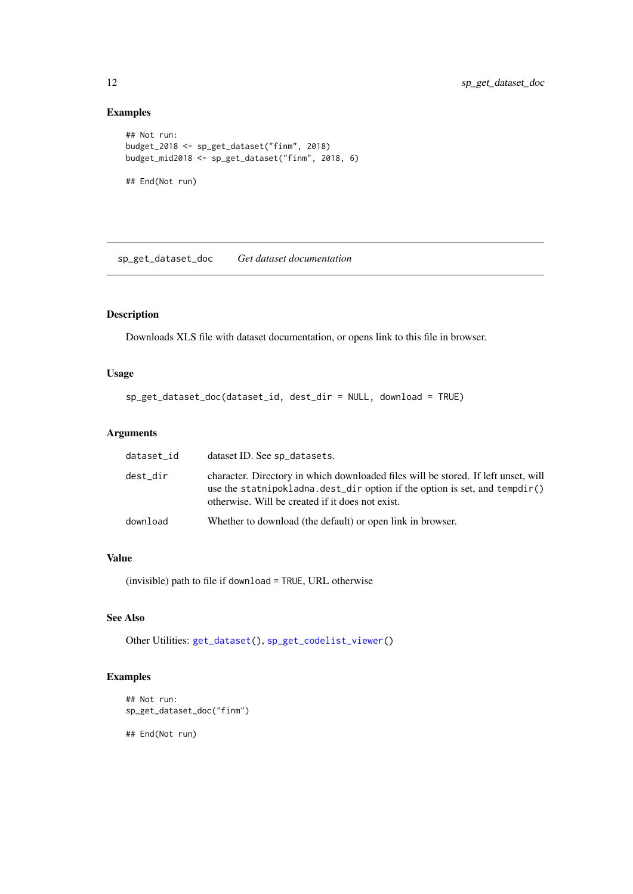#### Examples

```
## Not run:
budget_2018 <- sp_get_dataset("finm", 2018)
budget_mid2018 <- sp_get_dataset("finm", 2018, 6)
## End(Not run)
```
<span id="page-11-1"></span>sp\_get\_dataset\_doc *Get dataset documentation*

#### Description

Downloads XLS file with dataset documentation, or opens link to this file in browser.

### Usage

```
sp_get_dataset_doc(dataset_id, dest_dir = NULL, download = TRUE)
```
#### Arguments

| dataset_id | dataset ID. See sp_datasets.                                                                                                                                                                                            |
|------------|-------------------------------------------------------------------------------------------------------------------------------------------------------------------------------------------------------------------------|
| dest_dir   | character. Directory in which downloaded files will be stored. If left unset, will<br>use the statnipokladna. dest_dir option if the option is set, and $tempdir()$<br>otherwise. Will be created if it does not exist. |
| download   | Whether to download (the default) or open link in browser.                                                                                                                                                              |

#### Value

(invisible) path to file if download = TRUE, URL otherwise

#### See Also

Other Utilities: [get\\_dataset\(](#page-3-1)), [sp\\_get\\_codelist\\_viewer\(](#page-0-0))

#### Examples

```
## Not run:
sp_get_dataset_doc("finm")
## End(Not run)
```
<span id="page-11-0"></span>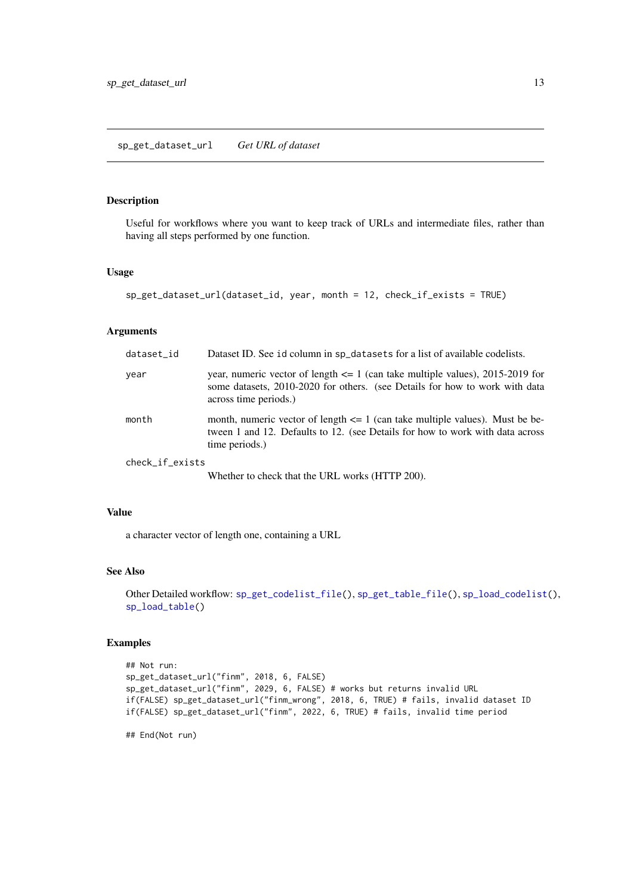<span id="page-12-1"></span><span id="page-12-0"></span>Useful for workflows where you want to keep track of URLs and intermediate files, rather than having all steps performed by one function.

### Usage

```
sp_get_dataset_url(dataset_id, year, month = 12, check_if_exists = TRUE)
```
#### Arguments

| dataset_id      | Dataset ID. See id column in sp_datasets for a list of available codelists.                                                                                                               |
|-----------------|-------------------------------------------------------------------------------------------------------------------------------------------------------------------------------------------|
| year            | year, numeric vector of length $\leq 1$ (can take multiple values), 2015-2019 for<br>some datasets, 2010-2020 for others. (see Details for how to work with data<br>across time periods.) |
| month           | month, numeric vector of length $\leq 1$ (can take multiple values). Must be be-<br>tween 1 and 12. Defaults to 12. (see Details for how to work with data across<br>time periods.)       |
| check_if_exists |                                                                                                                                                                                           |
|                 | Whether to check that the URL works (HTTP 200).                                                                                                                                           |

#### Value

a character vector of length one, containing a URL

#### See Also

Other Detailed workflow: [sp\\_get\\_codelist\\_file\(](#page-8-1)), [sp\\_get\\_table\\_file\(](#page-16-1)), [sp\\_load\\_codelist\(](#page-17-1)), [sp\\_load\\_table\(](#page-18-1))

#### Examples

```
## Not run:
sp_get_dataset_url("finm", 2018, 6, FALSE)
sp_get_dataset_url("finm", 2029, 6, FALSE) # works but returns invalid URL
if(FALSE) sp_get_dataset_url("finm_wrong", 2018, 6, TRUE) # fails, invalid dataset ID
if(FALSE) sp_get_dataset_url("finm", 2022, 6, TRUE) # fails, invalid time period
```
## End(Not run)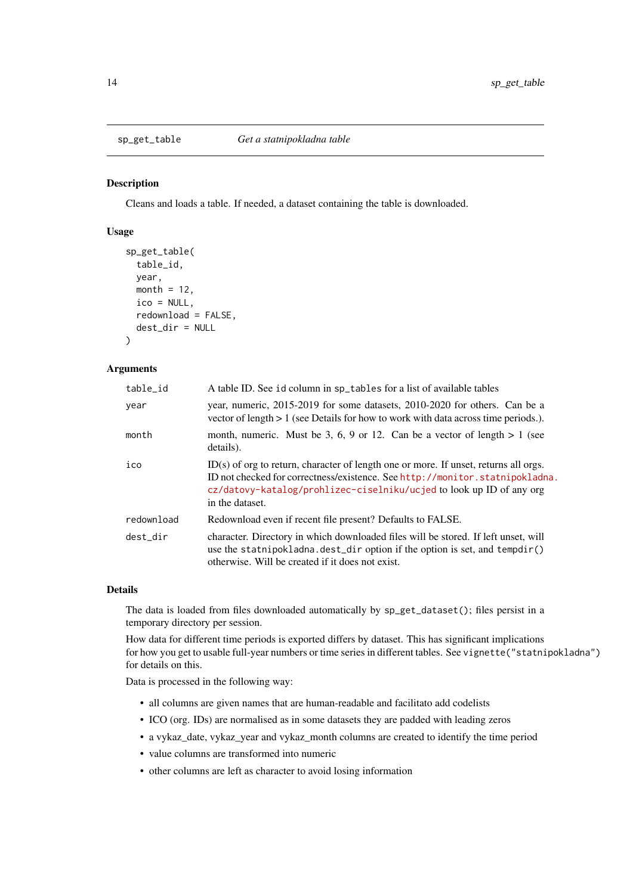<span id="page-13-1"></span><span id="page-13-0"></span>

Cleans and loads a table. If needed, a dataset containing the table is downloaded.

#### Usage

```
sp_get_table(
  table_id,
  year,
  month = 12,
  ico = NULL,
  redownload = FALSE,
  dest_dir = NULL
)
```
#### Arguments

| table_id   | A table ID. See id column in sp_tables for a list of available tables                                                                                                                                                                                           |  |  |
|------------|-----------------------------------------------------------------------------------------------------------------------------------------------------------------------------------------------------------------------------------------------------------------|--|--|
| year       | year, numeric, 2015-2019 for some datasets, 2010-2020 for others. Can be a<br>vector of length $> 1$ (see Details for how to work with data across time periods.).                                                                                              |  |  |
| month      | month, numeric. Must be 3, 6, 9 or 12. Can be a vector of length $> 1$ (see<br>details).                                                                                                                                                                        |  |  |
| ico        | ID(s) of org to return, character of length one or more. If unset, returns all orgs.<br>ID not checked for correctness/existence. See http://monitor.statnipokladna.<br>cz/datovy-katalog/prohlizec-ciselniku/ucjed to look up ID of any org<br>in the dataset. |  |  |
| redownload | Redownload even if recent file present? Defaults to FALSE.                                                                                                                                                                                                      |  |  |
| dest dir   | character. Directory in which downloaded files will be stored. If left unset, will<br>use the statnipokladna.dest_dir option if the option is set, and tempdir()<br>otherwise. Will be created if it does not exist.                                            |  |  |

#### Details

The data is loaded from files downloaded automatically by sp\_get\_dataset(); files persist in a temporary directory per session.

How data for different time periods is exported differs by dataset. This has significant implications for how you get to usable full-year numbers or time series in different tables. See vignette("statnipokladna") for details on this.

Data is processed in the following way:

- all columns are given names that are human-readable and facilitato add codelists
- ICO (org. IDs) are normalised as in some datasets they are padded with leading zeros
- a vykaz\_date, vykaz\_year and vykaz\_month columns are created to identify the time period
- value columns are transformed into numeric
- other columns are left as character to avoid losing information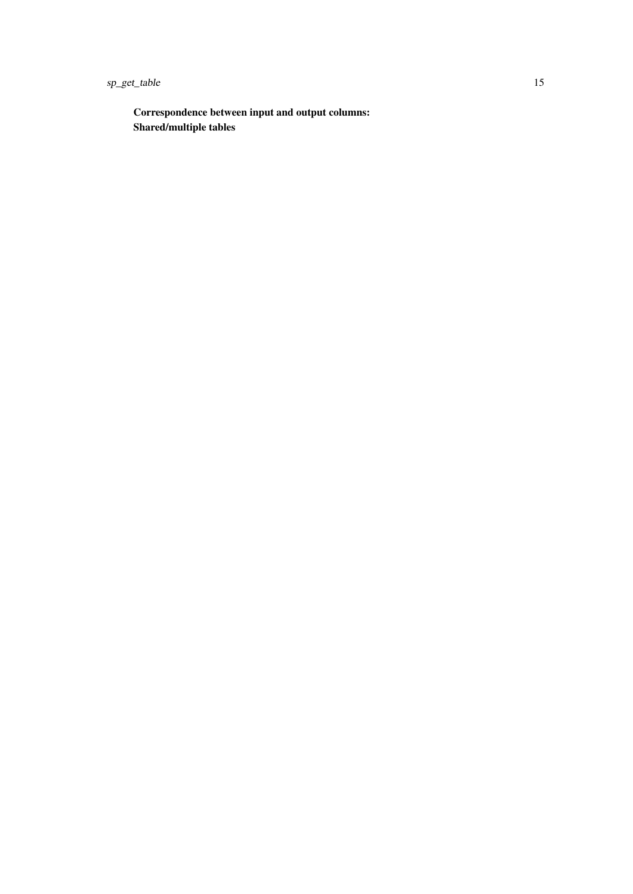sp\_get\_table 15

Correspondence between input and output columns: Shared/multiple tables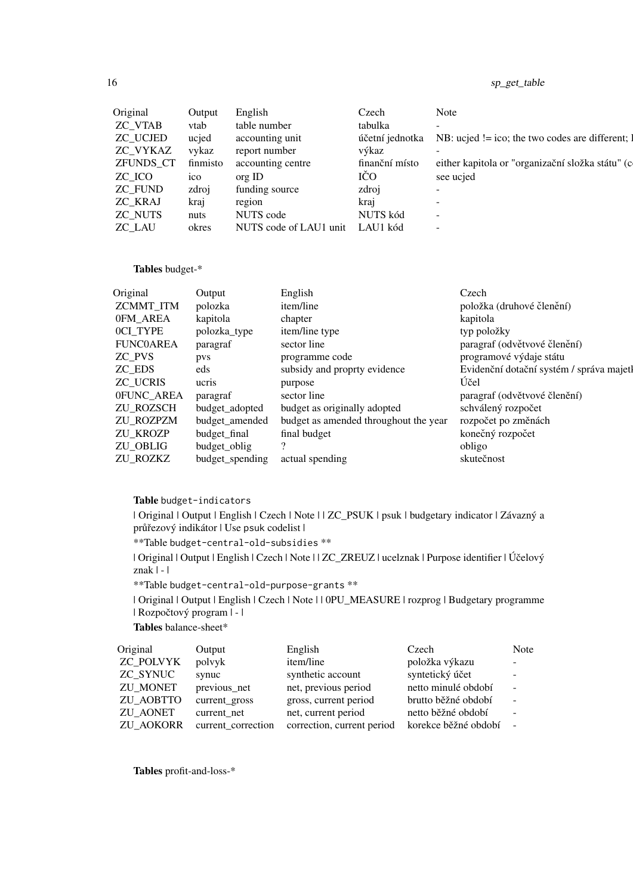# 16 sp\_get\_table

| Original       | Output   | English                | Czech           | Note                                                             |
|----------------|----------|------------------------|-----------------|------------------------------------------------------------------|
| <b>ZC_VTAB</b> | vtab     | table number           | tabulka         | $\overline{\phantom{a}}$                                         |
| ZC_UCJED       | ucjed    | accounting unit        | účetní jednotka | NB: $ucjed != ico$ ; the two codes are different; $\blacksquare$ |
| ZC_VYKAZ       | vykaz    | report number          | výkaz           |                                                                  |
| ZFUNDS_CT      | finmisto | accounting centre      | finanční místo  | either kapitola or "organizační složka státu" (c                 |
| ZC_ICO         | 1CO      | org ID                 | IČO             | see ucjed                                                        |
| ZC FUND        | zdroj    | funding source         | zdroj           | $\overline{\phantom{0}}$                                         |
| ZC_KRAJ        | kraj     | region                 | krai            |                                                                  |
| ZC NUTS        | nuts     | NUTS code              | NUTS kód        | -                                                                |
| ZC_LAU         | okres    | NUTS code of LAU1 unit | LAU1 kód        | $\overline{\phantom{0}}$                                         |

Tables budget-\*

| Original         | Output          | English                               | Czech                                    |
|------------------|-----------------|---------------------------------------|------------------------------------------|
| ZCMMT_ITM        | polozka         | item/line                             | položka (druhové členění)                |
| 0FM_AREA         | kapitola        | chapter                               | kapitola                                 |
| OCI_TYPE         | polozka_type    | item/line type                        | typ položky                              |
| <b>FUNC0AREA</b> | paragraf        | sector line                           | paragraf (odvětvové členění)             |
| ZC_PVS           | pvs             | programme code                        | programové výdaje státu                  |
| ZC_EDS           | eds             | subsidy and proprty evidence          | Evidenční dotační systém / správa majetl |
| ZC_UCRIS         | ucris           | purpose                               | Účel                                     |
| 0FUNC_AREA       | paragraf        | sector line                           | paragraf (odvětvové členění)             |
| ZU_ROZSCH        | budget_adopted  | budget as originally adopted          | schválený rozpočet                       |
| ZU_ROZPZM        | budget_amended  | budget as amended throughout the year | rozpočet po změnách                      |
| ZU_KROZP         | budget_final    | final budget                          | konečný rozpočet                         |
| ZU_OBLIG         | budget_oblig    |                                       | obligo                                   |
| ZU_ROZKZ         | budget_spending | actual spending                       | skutečnost                               |

#### Table budget-indicators

| Original | Output | English | Czech | Note | | ZC\_PSUK | psuk | budgetary indicator | Závazný a průřezový indikátor | Use psuk codelist |

\*\*Table budget-central-old-subsidies \*\*

| Original | Output | English | Czech | Note | | ZC\_ZREUZ | ucelznak | Purpose identifier | Účelový znak | - |

\*\*Table budget-central-old-purpose-grants \*\*

| Original | Output | English | Czech | Note | | 0PU\_MEASURE | rozprog | Budgetary programme | Rozpočtový program | - |

Tables balance-sheet\*

| Original         | Output             | English                    | Czech                | Note                     |
|------------------|--------------------|----------------------------|----------------------|--------------------------|
| <b>ZC POLVYK</b> | polyyk             | item/line                  | položka výkazu       | $\overline{\phantom{a}}$ |
| ZC SYNUC         | synuc              | synthetic account          | syntetický účet      | $\overline{\phantom{a}}$ |
| <b>ZU MONET</b>  | previous_net       | net, previous period       | netto minulé období  | $\overline{\phantom{a}}$ |
| ZU AOBTTO        | current_gross      | gross, current period      | brutto běžné období  |                          |
| ZU AONET         | current net        | net, current period        | netto běžné období   |                          |
| <b>ZU AOKORR</b> | current correction | correction, current period | korekce běžné období | $\sim$                   |
|                  |                    |                            |                      |                          |

Tables profit-and-loss-\*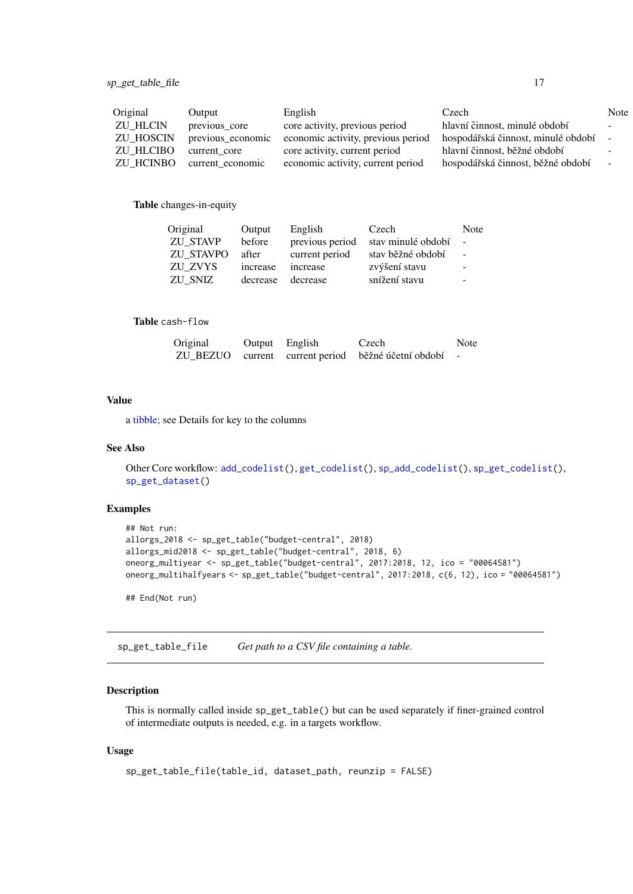<span id="page-16-0"></span>

| Original         | Output            | English                            | Czech                                | Note                     |
|------------------|-------------------|------------------------------------|--------------------------------------|--------------------------|
| <b>ZU HLCIN</b>  | previous_core     | core activity, previous period     | hlavní činnost, minulé období        | $\overline{\phantom{0}}$ |
| <b>ZU HOSCIN</b> | previous_economic | economic activity, previous period | hospodářská činnost, minulé období – |                          |
| <b>ZU HLCIBO</b> | current core      | core activity, current period      | hlavní činnost, běžné období         | -                        |
| ZU HCINBO        | current economic  | economic activity, current period  | hospodářská činnost, běžné období    | $\sim$                   |

#### Table changes-in-equity

| Original         | Output   | English         | Czech              | Note                     |
|------------------|----------|-----------------|--------------------|--------------------------|
| <b>ZU STAVP</b>  | before   | previous period | stav minulé období | $\sim$                   |
| <b>ZU STAVPO</b> | after    | current period  | stav běžné období  | $\sim$                   |
| ZU ZVYS          | increase | increase        | zvýšení stavu      | $\sim$                   |
| ZU SNIZ          | decrease | decrease        | snížení stavu      | $\overline{\phantom{a}}$ |

#### Table cash-flow

| Original | Output English | Czech                                                 | Note |
|----------|----------------|-------------------------------------------------------|------|
|          |                | ZU_BEZUO current current period běžné účetní období - |      |

#### Value

a [tibble;](#page-0-0) see Details for key to the columns

#### See Also

```
Other Core workflow: add_codelist(), get_codelist(), sp_add_codelist(), sp_get_codelist(),
sp_get_dataset()
```
#### Examples

```
## Not run:
allorgs_2018 <- sp_get_table("budget-central", 2018)
allorgs_mid2018 <- sp_get_table("budget-central", 2018, 6)
oneorg_multiyear <- sp_get_table("budget-central", 2017:2018, 12, ico = "00064581")
oneorg_multihalfyears <- sp_get_table("budget-central", 2017:2018, c(6, 12), ico = "00064581")
```
## End(Not run)

<span id="page-16-1"></span>sp\_get\_table\_file *Get path to a CSV file containing a table.*

#### Description

This is normally called inside sp\_get\_table() but can be used separately if finer-grained control of intermediate outputs is needed, e.g. in a targets workflow.

### Usage

```
sp_get_table_file(table_id, dataset_path, reunzip = FALSE)
```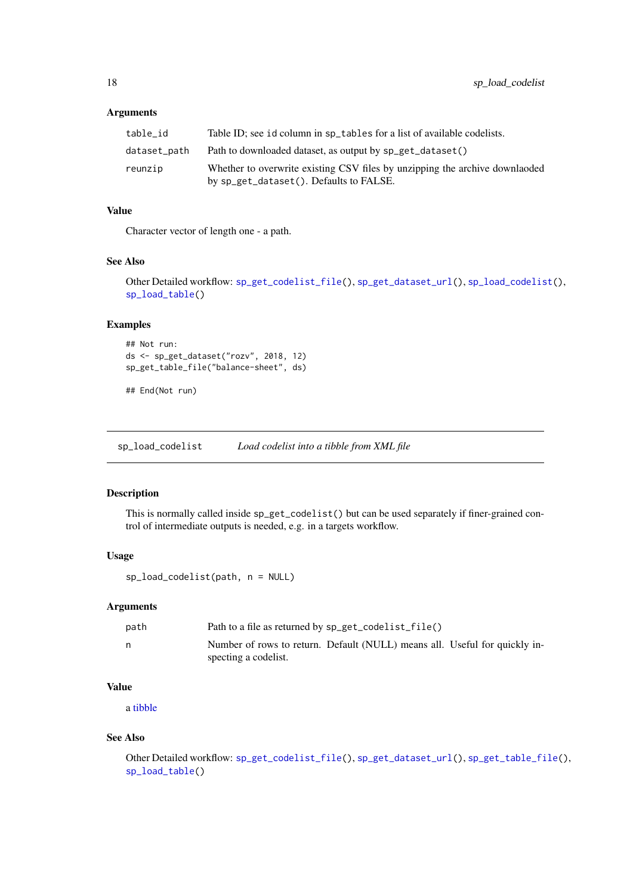### <span id="page-17-0"></span>Arguments

| table id     | Table ID; see id column in sp_tables for a list of available codelists.                                                |
|--------------|------------------------------------------------------------------------------------------------------------------------|
| dataset_path | Path to downloaded dataset, as output by sp_get_dataset()                                                              |
| reunzip      | Whether to overwrite existing CSV files by unzipping the archive downlanded<br>by sp_get_dataset(). Defaults to FALSE. |

#### Value

Character vector of length one - a path.

#### See Also

```
Other Detailed workflow: sp_get_codelist_file(), sp_get_dataset_url(), sp_load_codelist(),
sp_load_table()
```
### Examples

```
## Not run:
ds <- sp_get_dataset("rozv", 2018, 12)
sp_get_table_file("balance-sheet", ds)
```
## End(Not run)

<span id="page-17-1"></span>sp\_load\_codelist *Load codelist into a tibble from XML file*

#### Description

This is normally called inside sp\_get\_codelist() but can be used separately if finer-grained control of intermediate outputs is needed, e.g. in a targets workflow.

# Usage

sp\_load\_codelist(path, n = NULL)

#### Arguments

| path | Path to a file as returned by sp_get_codelist_file()                                               |
|------|----------------------------------------------------------------------------------------------------|
| n    | Number of rows to return. Default (NULL) means all. Useful for quickly in-<br>specting a codelist. |

#### Value

a [tibble](#page-0-0)

# See Also

Other Detailed workflow: [sp\\_get\\_codelist\\_file\(](#page-8-1)), [sp\\_get\\_dataset\\_url\(](#page-12-1)), [sp\\_get\\_table\\_file\(](#page-16-1)), [sp\\_load\\_table\(](#page-18-1))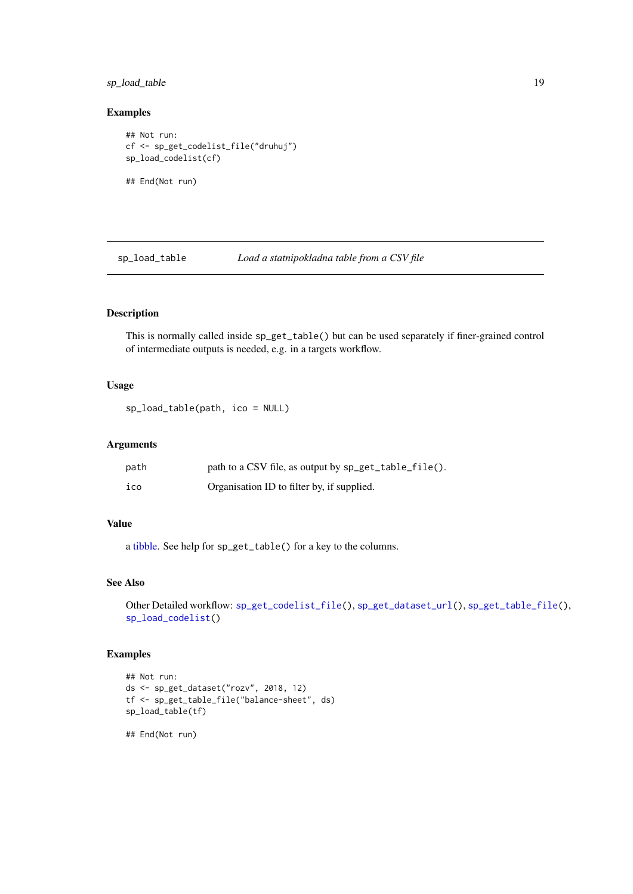#### <span id="page-18-0"></span>sp\_load\_table 19

#### Examples

```
## Not run:
cf <- sp_get_codelist_file("druhuj")
sp_load_codelist(cf)
## End(Not run)
```
<span id="page-18-1"></span>sp\_load\_table *Load a statnipokladna table from a CSV file*

#### Description

This is normally called inside sp\_get\_table() but can be used separately if finer-grained control of intermediate outputs is needed, e.g. in a targets workflow.

#### Usage

sp\_load\_table(path, ico = NULL)

### Arguments

| path | path to a CSV file, as output by sp_get_table_file(). |
|------|-------------------------------------------------------|
| ico  | Organisation ID to filter by, if supplied.            |

#### Value

a [tibble.](#page-0-0) See help for sp\_get\_table() for a key to the columns.

#### See Also

```
Other Detailed workflow: sp_get_codelist_file(), sp_get_dataset_url(), sp_get_table_file(),
sp_load_codelist()
```
### Examples

```
## Not run:
ds <- sp_get_dataset("rozv", 2018, 12)
tf <- sp_get_table_file("balance-sheet", ds)
sp_load_table(tf)
```
## End(Not run)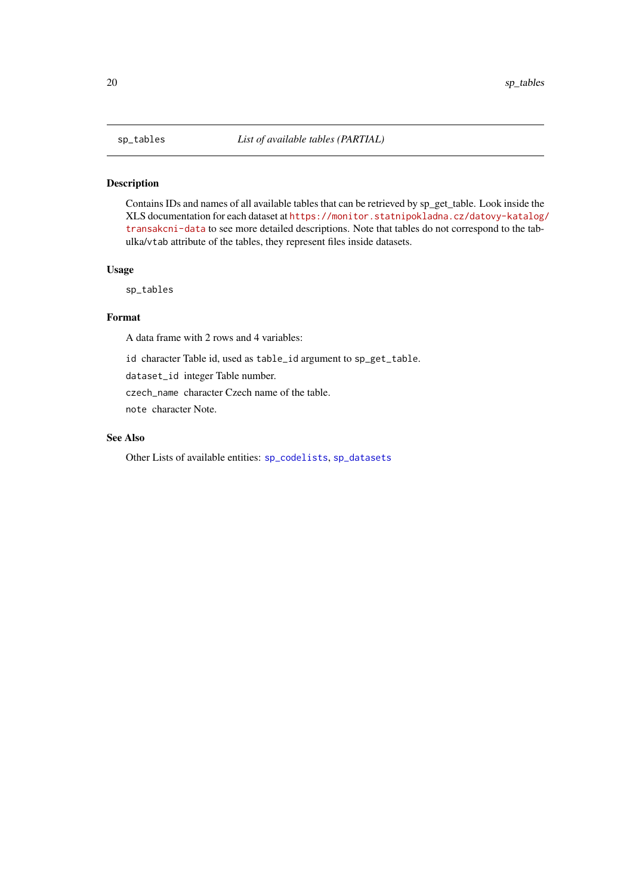<span id="page-19-1"></span><span id="page-19-0"></span>Contains IDs and names of all available tables that can be retrieved by sp\_get\_table. Look inside the XLS documentation for each dataset at [https://monitor.statnipokladna.cz/datovy-katalog/](https://monitor.statnipokladna.cz/datovy-katalog/transakcni-data) [transakcni-data](https://monitor.statnipokladna.cz/datovy-katalog/transakcni-data) to see more detailed descriptions. Note that tables do not correspond to the tabulka/vtab attribute of the tables, they represent files inside datasets.

#### Usage

sp\_tables

#### Format

A data frame with 2 rows and 4 variables:

id character Table id, used as table\_id argument to sp\_get\_table.

dataset\_id integer Table number.

czech\_name character Czech name of the table.

note character Note.

# See Also

Other Lists of available entities: [sp\\_codelists](#page-6-1), [sp\\_datasets](#page-7-2)